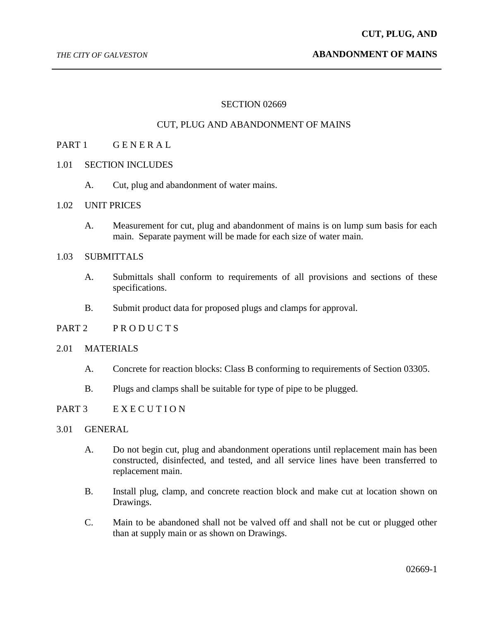#### *THE CITY OF GALVESTON* **ABANDONMENT OF MAINS**

### SECTION 02669

## CUT, PLUG AND ABANDONMENT OF MAINS

# PART 1 GENERAL

- 1.01 SECTION INCLUDES
	- A. Cut, plug and abandonment of water mains.
- 1.02 UNIT PRICES
	- A. Measurement for cut, plug and abandonment of mains is on lump sum basis for each main. Separate payment will be made for each size of water main.

## 1.03 SUBMITTALS

- A. Submittals shall conform to requirements of all provisions and sections of these specifications.
- B. Submit product data for proposed plugs and clamps for approval.

## PART 2 PRODUCTS

#### 2.01 MATERIALS

- A. Concrete for reaction blocks: Class B conforming to requirements of Section 03305.
- B. Plugs and clamps shall be suitable for type of pipe to be plugged.

#### PART 3 EXECUTION

- 3.01 GENERAL
	- A. Do not begin cut, plug and abandonment operations until replacement main has been constructed, disinfected, and tested, and all service lines have been transferred to replacement main.
	- B. Install plug, clamp, and concrete reaction block and make cut at location shown on Drawings.
	- C. Main to be abandoned shall not be valved off and shall not be cut or plugged other than at supply main or as shown on Drawings.